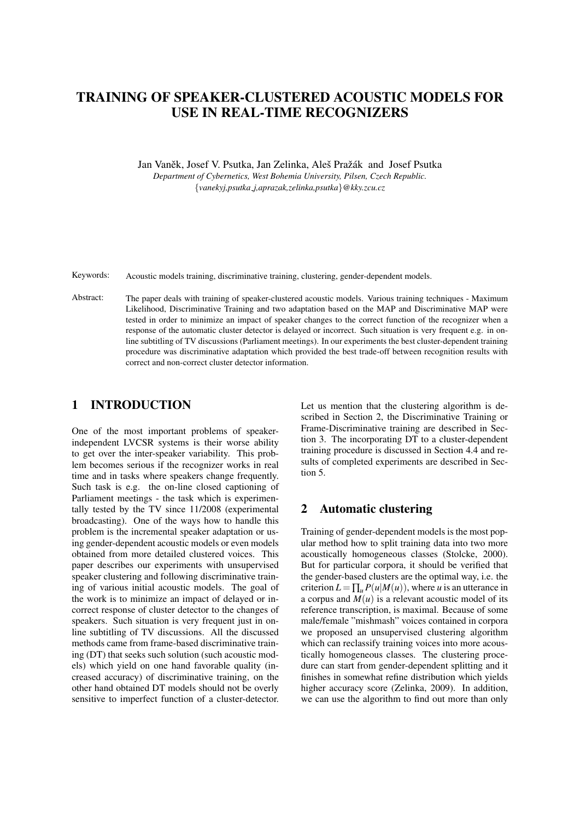# TRAINING OF SPEAKER-CLUSTERED ACOUSTIC MODELS FOR USE IN REAL-TIME RECOGNIZERS

Jan Vaněk, Josef V. Psutka, Jan Zelinka, Aleš Pražák and Josef Psutka *Department of Cybernetics, West Bohemia University, Pilsen, Czech Republic.* {*vanekyj,psutka j,aprazak,zelinka,psutka*}*@kky.zcu.cz*

Keywords: Acoustic models training, discriminative training, clustering, gender-dependent models.

Abstract: The paper deals with training of speaker-clustered acoustic models. Various training techniques - Maximum Likelihood, Discriminative Training and two adaptation based on the MAP and Discriminative MAP were tested in order to minimize an impact of speaker changes to the correct function of the recognizer when a response of the automatic cluster detector is delayed or incorrect. Such situation is very frequent e.g. in online subtitling of TV discussions (Parliament meetings). In our experiments the best cluster-dependent training procedure was discriminative adaptation which provided the best trade-off between recognition results with correct and non-correct cluster detector information.

### 1 INTRODUCTION

One of the most important problems of speakerindependent LVCSR systems is their worse ability to get over the inter-speaker variability. This problem becomes serious if the recognizer works in real time and in tasks where speakers change frequently. Such task is e.g. the on-line closed captioning of Parliament meetings - the task which is experimentally tested by the TV since 11/2008 (experimental broadcasting). One of the ways how to handle this problem is the incremental speaker adaptation or using gender-dependent acoustic models or even models obtained from more detailed clustered voices. This paper describes our experiments with unsupervised speaker clustering and following discriminative training of various initial acoustic models. The goal of the work is to minimize an impact of delayed or incorrect response of cluster detector to the changes of speakers. Such situation is very frequent just in online subtitling of TV discussions. All the discussed methods came from frame-based discriminative training (DT) that seeks such solution (such acoustic models) which yield on one hand favorable quality (increased accuracy) of discriminative training, on the other hand obtained DT models should not be overly sensitive to imperfect function of a cluster-detector.

Let us mention that the clustering algorithm is described in Section 2, the Discriminative Training or Frame-Discriminative training are described in Section 3. The incorporating DT to a cluster-dependent training procedure is discussed in Section 4.4 and results of completed experiments are described in Section 5.

### 2 Automatic clustering

Training of gender-dependent models is the most popular method how to split training data into two more acoustically homogeneous classes (Stolcke, 2000). But for particular corpora, it should be verified that the gender-based clusters are the optimal way, i.e. the criterion  $L = \prod_{u} P(u|M(u))$ , where *u* is an utterance in a corpus and  $M(u)$  is a relevant acoustic model of its reference transcription, is maximal. Because of some male/female "mishmash" voices contained in corpora we proposed an unsupervised clustering algorithm which can reclassify training voices into more acoustically homogeneous classes. The clustering procedure can start from gender-dependent splitting and it finishes in somewhat refine distribution which yields higher accuracy score (Zelinka, 2009). In addition, we can use the algorithm to find out more than only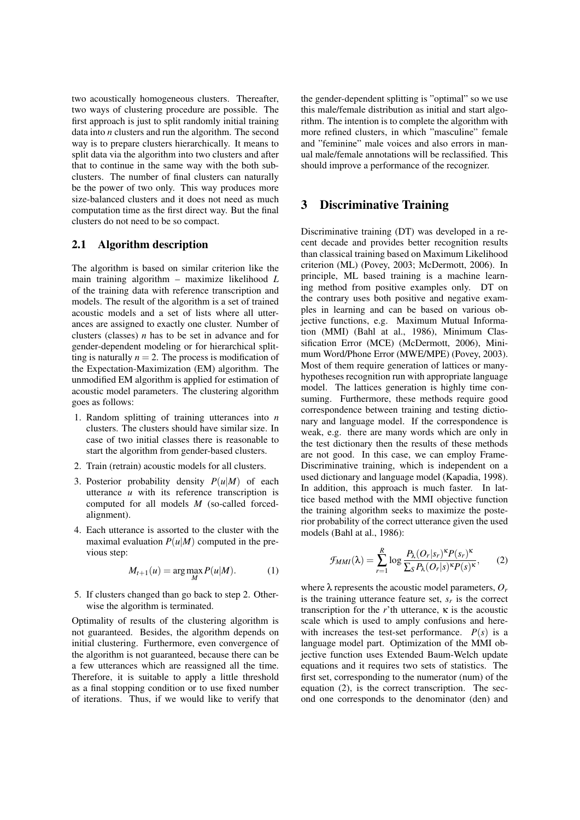two acoustically homogeneous clusters. Thereafter, two ways of clustering procedure are possible. The first approach is just to split randomly initial training data into *n* clusters and run the algorithm. The second way is to prepare clusters hierarchically. It means to split data via the algorithm into two clusters and after that to continue in the same way with the both subclusters. The number of final clusters can naturally be the power of two only. This way produces more size-balanced clusters and it does not need as much computation time as the first direct way. But the final clusters do not need to be so compact.

#### 2.1 Algorithm description

The algorithm is based on similar criterion like the main training algorithm – maximize likelihood *L* of the training data with reference transcription and models. The result of the algorithm is a set of trained acoustic models and a set of lists where all utterances are assigned to exactly one cluster. Number of clusters (classes) *n* has to be set in advance and for gender-dependent modeling or for hierarchical splitting is naturally  $n = 2$ . The process is modification of the Expectation-Maximization (EM) algorithm. The unmodified EM algorithm is applied for estimation of acoustic model parameters. The clustering algorithm goes as follows:

- 1. Random splitting of training utterances into *n* clusters. The clusters should have similar size. In case of two initial classes there is reasonable to start the algorithm from gender-based clusters.
- 2. Train (retrain) acoustic models for all clusters.
- 3. Posterior probability density *P*(*u*|*M*) of each utterance *u* with its reference transcription is computed for all models *M* (so-called forcedalignment).
- 4. Each utterance is assorted to the cluster with the maximal evaluation  $P(u|M)$  computed in the previous step:

$$
M_{t+1}(u) = \arg\max_{M} P(u|M). \tag{1}
$$

5. If clusters changed than go back to step 2. Otherwise the algorithm is terminated.

Optimality of results of the clustering algorithm is not guaranteed. Besides, the algorithm depends on initial clustering. Furthermore, even convergence of the algorithm is not guaranteed, because there can be a few utterances which are reassigned all the time. Therefore, it is suitable to apply a little threshold as a final stopping condition or to use fixed number of iterations. Thus, if we would like to verify that

the gender-dependent splitting is "optimal" so we use this male/female distribution as initial and start algorithm. The intention is to complete the algorithm with more refined clusters, in which "masculine" female and "feminine" male voices and also errors in manual male/female annotations will be reclassified. This should improve a performance of the recognizer.

#### 3 Discriminative Training

Discriminative training (DT) was developed in a recent decade and provides better recognition results than classical training based on Maximum Likelihood criterion (ML) (Povey, 2003; McDermott, 2006). In principle, ML based training is a machine learning method from positive examples only. DT on the contrary uses both positive and negative examples in learning and can be based on various objective functions, e.g. Maximum Mutual Information (MMI) (Bahl at al., 1986), Minimum Classification Error (MCE) (McDermott, 2006), Minimum Word/Phone Error (MWE/MPE) (Povey, 2003). Most of them require generation of lattices or manyhypotheses recognition run with appropriate language model. The lattices generation is highly time consuming. Furthermore, these methods require good correspondence between training and testing dictionary and language model. If the correspondence is weak, e.g. there are many words which are only in the test dictionary then the results of these methods are not good. In this case, we can employ Frame-Discriminative training, which is independent on a used dictionary and language model (Kapadia, 1998). In addition, this approach is much faster. In lattice based method with the MMI objective function the training algorithm seeks to maximize the posterior probability of the correct utterance given the used models (Bahl at al., 1986):

$$
\mathcal{F}_{MMI}(\lambda) = \sum_{r=1}^{R} \log \frac{P_{\lambda}(O_r|s_r)^{\kappa} P(s_r)^{\kappa}}{\sum_{S} P_{\lambda}(O_r|s)^{\kappa} P(s)^{\kappa}},
$$
 (2)

where  $\lambda$  represents the acoustic model parameters,  $O_r$ is the training utterance feature set,  $s_r$  is the correct transcription for the *r*'th utterance, κ is the acoustic scale which is used to amply confusions and herewith increases the test-set performance.  $P(s)$  is a language model part. Optimization of the MMI objective function uses Extended Baum-Welch update equations and it requires two sets of statistics. The first set, corresponding to the numerator (num) of the equation (2), is the correct transcription. The second one corresponds to the denominator (den) and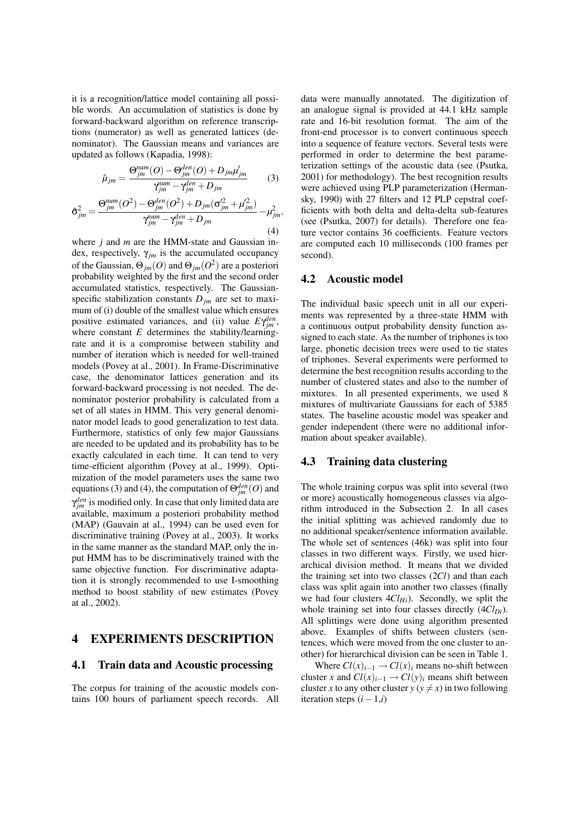it is a recognition/lattice model containing all possible words. An accumulation of statistics is done by forward-backward algorithm on reference transcriptions (numerator) as well as generated lattices (denominator). The Gaussian means and variances are updated as follows (Kapadia, 1998):

$$
\hat{\mu}_{jm} = \frac{\Theta_{jm}^{num}(O) - \Theta_{jm}^{den}(O) + D_{jm}\mu'_{jm}}{\gamma_{jm}^{num} - \gamma_{jm}^{den} + D_{jm}} \tag{3}
$$

$$
\hat{\sigma}_{jm}^{2} = \frac{\Theta_{jm}^{num}(O^{2}) - \Theta_{jm}^{den}(O^{2}) + D_{jm}(\sigma_{jm}^{2} + \mu_{jm}^{2})}{\gamma_{jm}^{num} - \gamma_{jm}^{den} + D_{jm}}
$$
\n(4)

where *j* and *m* are the HMM-state and Gaussian index, respectively,  $\gamma_{im}$  is the accumulated occupancy of the Gaussian,  $\Theta_{jm}(O)$  and  $\Theta_{jm}(O^2)$  are a posteriori probability weighted by the first and the second order accumulated statistics, respectively. The Gaussianspecific stabilization constants  $D_{jm}$  are set to maximum of (i) double of the smallest value which ensures positive estimated variances, and (ii) value  $E\gamma_{jm}^{den}$ , where constant *E* determines the stability/learningrate and it is a compromise between stability and number of iteration which is needed for well-trained models (Povey at al., 2001). In Frame-Discriminative case, the denominator lattices generation and its forward-backward processing is not needed. The denominator posterior probability is calculated from a set of all states in HMM. This very general denominator model leads to good generalization to test data. Furthermore, statistics of only few major Gaussians are needed to be updated and its probability has to be exactly calculated in each time. It can tend to very time-efficient algorithm (Povey at al., 1999). Optimization of the model parameters uses the same two equations (3) and (4), the computation of  $\Theta_{jm}^{den}(O)$  and  $\gamma_{jm}^{den}$  is modified only. In case that only limited data are available, maximum a posteriori probability method (MAP) (Gauvain at al., 1994) can be used even for discriminative training (Povey at al., 2003). It works in the same manner as the standard MAP, only the input HMM has to be discriminatively trained with the same objective function. For discriminative adaptation it is strongly recommended to use I-smoothing method to boost stability of new estimates (Povey at al., 2002).

### 4 EXPERIMENTS DESCRIPTION

#### 4.1 Train data and Acoustic processing

The corpus for training of the acoustic models contains 100 hours of parliament speech records. All data were manually annotated. The digitization of an analogue signal is provided at 44.1 kHz sample rate and 16-bit resolution format. The aim of the front-end processor is to convert continuous speech into a sequence of feature vectors. Several tests were performed in order to determine the best parameterization settings of the acoustic data (see (Psutka, 2001) for methodology). The best recognition results were achieved using PLP parameterization (Hermansky, 1990) with 27 filters and 12 PLP cepstral coefficients with both delta and delta-delta sub-features (see (Psutka, 2007) for details). Therefore one feature vector contains 36 coefficients. Feature vectors are computed each 10 milliseconds (100 frames per second).

#### 4.2 Acoustic model

The individual basic speech unit in all our experiments was represented by a three-state HMM with a continuous output probability density function assigned to each state. As the number of triphones is too large, phonetic decision trees were used to tie states of triphones. Several experiments were performed to determine the best recognition results according to the number of clustered states and also to the number of mixtures. In all presented experiments, we used 8 mixtures of multivariate Gaussians for each of 5385 states. The baseline acoustic model was speaker and gender independent (there were no additional information about speaker available).

#### 4.3 Training data clustering

The whole training corpus was split into several (two or more) acoustically homogeneous classes via algorithm introduced in the Subsection 2. In all cases the initial splitting was achieved randomly due to no additional speaker/sentence information available. The whole set of sentences (46k) was split into four classes in two different ways. Firstly, we used hierarchical division method. It means that we divided the training set into two classes (2*Cl*) and than each class was split again into another two classes (finally we had four clusters 4*ClHi*). Secondly, we split the whole training set into four classes directly (4*ClDi*). All splittings were done using algorithm presented above. Examples of shifts between clusters (sentences, which were moved from the one cluster to another) for hierarchical division can be seen in Table 1.

Where  $Cl(x)_{i-1} \rightarrow Cl(x)_{i}$  means no-shift between cluster *x* and  $Cl(x)_{i-1} \rightarrow Cl(y)_{i}$  means shift between cluster *x* to any other cluster  $y (y \neq x)$  in two following iteration steps (*i*−1,*i*)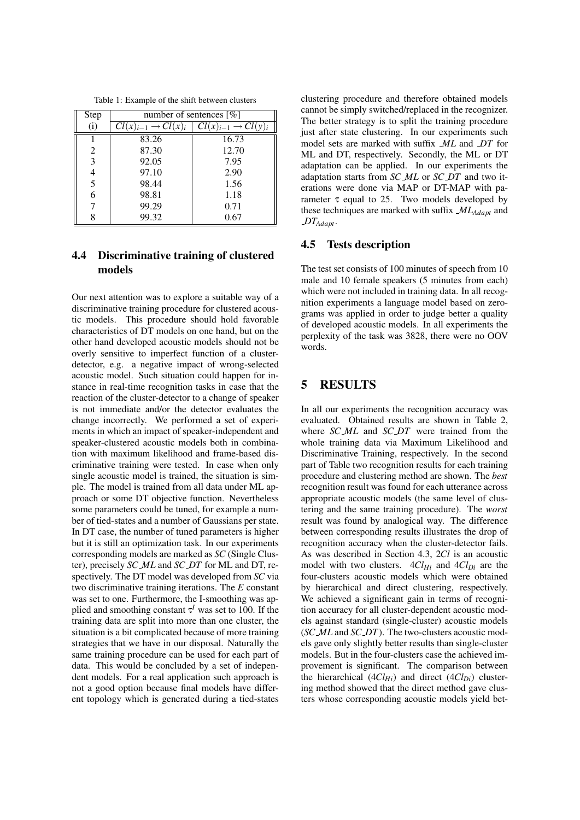Table 1: Example of the shift between clusters

| Step | number of sentences $\lceil \% \rceil$ |                          |
|------|----------------------------------------|--------------------------|
| (i)  | $\rightarrow Cl(x)$<br>$(x)_{i-1}$     | $\overline{Cl}(x)_{i-1}$ |
|      | 83.26                                  | 16.73                    |
| 2    | 87.30                                  | 12.70                    |
| 3    | 92.05                                  | 7.95                     |
|      | 97.10                                  | 2.90                     |
| 5    | 98.44                                  | 1.56                     |
|      | 98.81                                  | 1.18                     |
|      | 99.29                                  | 0.71                     |
| Q    | 99.32                                  | 0.67                     |

## 4.4 Discriminative training of clustered models

Our next attention was to explore a suitable way of a discriminative training procedure for clustered acoustic models. This procedure should hold favorable characteristics of DT models on one hand, but on the other hand developed acoustic models should not be overly sensitive to imperfect function of a clusterdetector, e.g. a negative impact of wrong-selected acoustic model. Such situation could happen for instance in real-time recognition tasks in case that the reaction of the cluster-detector to a change of speaker is not immediate and/or the detector evaluates the change incorrectly. We performed a set of experiments in which an impact of speaker-independent and speaker-clustered acoustic models both in combination with maximum likelihood and frame-based discriminative training were tested. In case when only single acoustic model is trained, the situation is simple. The model is trained from all data under ML approach or some DT objective function. Nevertheless some parameters could be tuned, for example a number of tied-states and a number of Gaussians per state. In DT case, the number of tuned parameters is higher but it is still an optimization task. In our experiments corresponding models are marked as *SC* (Single Cluster), precisely *SC ML* and *SC DT* for ML and DT, respectively. The DT model was developed from *SC* via two discriminative training iterations. The *E* constant was set to one. Furthermore, the I-smoothing was applied and smoothing constant τ<sup>*I*</sup> was set to 100. If the training data are split into more than one cluster, the situation is a bit complicated because of more training strategies that we have in our disposal. Naturally the same training procedure can be used for each part of data. This would be concluded by a set of independent models. For a real application such approach is not a good option because final models have different topology which is generated during a tied-states clustering procedure and therefore obtained models cannot be simply switched/replaced in the recognizer. The better strategy is to split the training procedure just after state clustering. In our experiments such model sets are marked with suffix *ML* and *DT* for ML and DT, respectively. Secondly, the ML or DT adaptation can be applied. In our experiments the adaptation starts from *SC ML* or *SC DT* and two iterations were done via MAP or DT-MAP with parameter  $\tau$  equal to 25. Two models developed by these techniques are marked with suffix *MLAdapt* and *DTAdapt*.

#### 4.5 Tests description

The test set consists of 100 minutes of speech from 10 male and 10 female speakers (5 minutes from each) which were not included in training data. In all recognition experiments a language model based on zerograms was applied in order to judge better a quality of developed acoustic models. In all experiments the perplexity of the task was 3828, there were no OOV words.

### 5 RESULTS

In all our experiments the recognition accuracy was evaluated. Obtained results are shown in Table 2, where *SC ML* and *SC DT* were trained from the whole training data via Maximum Likelihood and Discriminative Training, respectively. In the second part of Table two recognition results for each training procedure and clustering method are shown. The *best* recognition result was found for each utterance across appropriate acoustic models (the same level of clustering and the same training procedure). The *worst* result was found by analogical way. The difference between corresponding results illustrates the drop of recognition accuracy when the cluster-detector fails. As was described in Section 4.3, 2*Cl* is an acoustic model with two clusters.  $4Cl<sub>Hi</sub>$  and  $4Cl<sub>Di</sub>$  are the four-clusters acoustic models which were obtained by hierarchical and direct clustering, respectively. We achieved a significant gain in terms of recognition accuracy for all cluster-dependent acoustic models against standard (single-cluster) acoustic models (*SC ML* and *SC DT*). The two-clusters acoustic models gave only slightly better results than single-cluster models. But in the four-clusters case the achieved improvement is significant. The comparison between the hierarchical  $(4Cl<sub>Hi</sub>)$  and direct  $(4Cl<sub>Di</sub>)$  clustering method showed that the direct method gave clusters whose corresponding acoustic models yield bet-